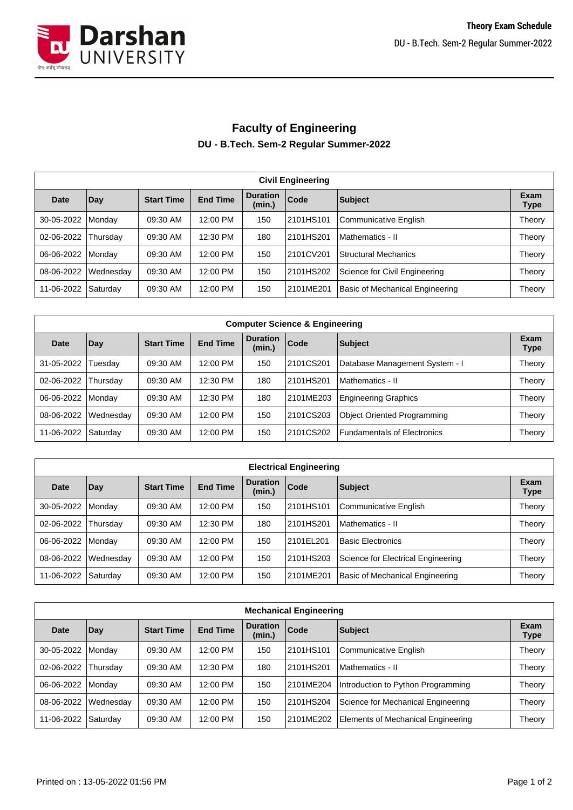

## **Faculty of Engineering DU - B.Tech. Sem-2 Regular Summer-2022**

| <b>Civil Engineering</b> |           |                   |                 |                           |           |                                 |                     |  |  |
|--------------------------|-----------|-------------------|-----------------|---------------------------|-----------|---------------------------------|---------------------|--|--|
| Date                     | Day       | <b>Start Time</b> | <b>End Time</b> | <b>Duration</b><br>(min.) | Code      | <b>Subject</b>                  | Exam<br><b>Type</b> |  |  |
| 30-05-2022               | Monday    | 09:30 AM          | 12:00 PM        | 150                       | 2101HS101 | Communicative English           | Theory              |  |  |
| 02-06-2022               | Thursday  | 09:30 AM          | 12:30 PM        | 180                       | 2101HS201 | Mathematics - II                | Theory              |  |  |
| 06-06-2022               | Monday    | 09:30 AM          | 12:00 PM        | 150                       | 2101CV201 | <b>Structural Mechanics</b>     | Theory              |  |  |
| 08-06-2022               | Wednesday | 09:30 AM          | 12:00 PM        | 150                       | 2101HS202 | Science for Civil Engineering   | Theory              |  |  |
| 11-06-2022               | Saturday  | 09:30 AM          | 12:00 PM        | 150                       | 2101ME201 | Basic of Mechanical Engineering | Theory              |  |  |

| <b>Computer Science &amp; Engineering</b> |                 |                   |                 |                           |           |                                |                     |  |  |
|-------------------------------------------|-----------------|-------------------|-----------------|---------------------------|-----------|--------------------------------|---------------------|--|--|
| Date                                      | Day             | <b>Start Time</b> | <b>End Time</b> | <b>Duration</b><br>(min.) | Code      | Subject                        | Exam<br><b>Type</b> |  |  |
| 31-05-2022                                | Tuesday         | 09:30 AM          | 12:00 PM        | 150                       | 2101CS201 | Database Management System - I | Theory              |  |  |
| 02-06-2022                                | <b>Thursday</b> | 09:30 AM          | 12:30 PM        | 180                       | 2101HS201 | Mathematics - II               | Theory              |  |  |
| 06-06-2022                                | l Mondav        | 09:30 AM          | 12:30 PM        | 180                       | 2101ME203 | Engineering Graphics           | Theory              |  |  |
| 08-06-2022                                | Wednesday       | 09:30 AM          | 12:00 PM        | 150                       | 2101CS203 | Object Oriented Programming    | Theory              |  |  |
| 11-06-2022                                | Saturday        | 09:30 AM          | 12:00 PM        | 150                       | 2101CS202 | Fundamentals of Electronics    | Theory              |  |  |

| <b>Electrical Engineering</b> |                 |                   |                 |                           |           |                                    |                     |  |  |
|-------------------------------|-----------------|-------------------|-----------------|---------------------------|-----------|------------------------------------|---------------------|--|--|
| Date                          | Day             | <b>Start Time</b> | <b>End Time</b> | <b>Duration</b><br>(min.) | Code      | Subject                            | Exam<br><b>Type</b> |  |  |
| 30-05-2022                    | <b>Monday</b>   | 09:30 AM          | 12:00 PM        | 150                       | 2101HS101 | Communicative English              | Theory              |  |  |
| 02-06-2022                    | <b>Thursday</b> | 09:30 AM          | 12:30 PM        | 180                       | 2101HS201 | Mathematics - II                   | Theory              |  |  |
| 06-06-2022                    | <b>Mondav</b>   | 09:30 AM          | 12:00 PM        | 150                       | 2101EL201 | <b>Basic Electronics</b>           | Theory              |  |  |
| 08-06-2022                    | Wednesday       | 09:30 AM          | 12:00 PM        | 150                       | 2101HS203 | Science for Electrical Engineering | Theory              |  |  |
| 11-06-2022                    | Saturday        | 09:30 AM          | 12:00 PM        | 150                       | 2101ME201 | Basic of Mechanical Engineering    | Theory              |  |  |

| <b>Mechanical Engineering</b> |           |                   |                 |                           |             |                                    |                     |  |  |
|-------------------------------|-----------|-------------------|-----------------|---------------------------|-------------|------------------------------------|---------------------|--|--|
| <b>Date</b>                   | Day       | <b>Start Time</b> | <b>End Time</b> | <b>Duration</b><br>(min.) | <b>Code</b> | <b>Subject</b>                     | Exam<br><b>Type</b> |  |  |
| 30-05-2022                    | Monday    | 09:30 AM          | 12:00 PM        | 150                       | 2101HS101   | <b>Communicative English</b>       | Theory              |  |  |
| 02-06-2022                    | Thursday  | 09:30 AM          | 12:30 PM        | 180                       | 2101HS201   | Mathematics - II                   | Theory              |  |  |
| 06-06-2022                    | Monday    | 09:30 AM          | 12:00 PM        | 150                       | 2101ME204   | Introduction to Python Programming | Theory              |  |  |
| 08-06-2022                    | Wednesday | 09:30 AM          | 12:00 PM        | 150                       | 2101HS204   | Science for Mechanical Engineering | Theory              |  |  |
| 11-06-2022                    | Saturday  | 09:30 AM          | 12:00 PM        | 150                       | 2101ME202   | Elements of Mechanical Engineering | Theory              |  |  |